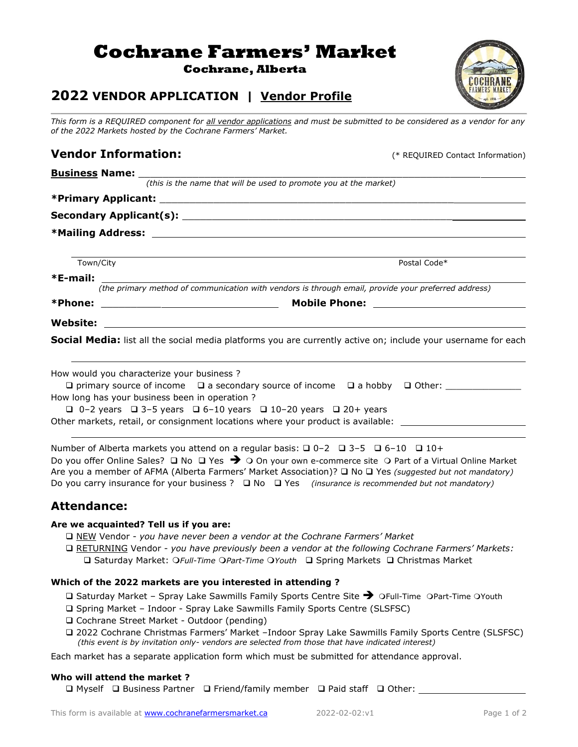# **Cochrane Farmers' Market**

**Cochrane, Alberta**

# **2022 VENDOR APPLICATION | Vendor Profile**

*This form is a REQUIRED component for all vendor applications and must be submitted to be considered as a vendor for any of the 2022 Markets hosted by the Cochrane Farmers' Market.*

 *(this is the name that will be used to promote you at the market)*

# **Vendor Information:** (\* REQUIRED Contact Information)

# **\*Primary Applicant:** \_\_\_\_\_\_\_\_\_\_\_\_\_\_\_\_\_\_\_\_\_\_\_\_\_\_\_\_\_\_\_\_\_\_\_\_\_\_\_\_\_\_\_\_\_\_\_\_\_

**Business Name:** 

**Secondary Applicant(s):** \_\_\_\_\_\_\_\_\_\_\_\_\_\_\_\_\_\_\_\_\_\_\_\_\_\_\_\_\_\_\_\_\_\_\_\_\_\_\_\_\_\_\_\_\_

**\*Mailing Address:** 

Town/City **Postal Code\*** 

**\*E-mail:** 

*(the primary method of communication with vendors is through email, provide your preferred address)*

**Website:** 

**Social Media:** list all the social media platforms you are currently active on; include your username for each

| How would you characterize your business?                                        |                                                                                                  |  |  |  |  |
|----------------------------------------------------------------------------------|--------------------------------------------------------------------------------------------------|--|--|--|--|
|                                                                                  | $\Box$ primary source of income $\Box$ a secondary source of income $\Box$ a hobby $\Box$ Other: |  |  |  |  |
| How long has your business been in operation?                                    |                                                                                                  |  |  |  |  |
|                                                                                  | $\Box$ 0-2 years $\Box$ 3-5 years $\Box$ 6-10 years $\Box$ 10-20 years $\Box$ 20+ years          |  |  |  |  |
| Other markets, retail, or consignment locations where your product is available: |                                                                                                  |  |  |  |  |

Number of Alberta markets you attend on a regular basis:  $\Box$  0–2  $\Box$  3–5  $\Box$  6–10  $\Box$  10+ Do you offer Online Sales? □ No □ Yes → O On your own e-commerce site O Part of a Virtual Online Market Are you a member of AFMA (Alberta Farmers' Market Association)? ❑ No ❑ Yes *(suggested but not mandatory)* Do you carry insurance for your business ? ❑ No ❑ Yes *(insurance is recommended but not mandatory)*

# **Attendance:**

#### **Are we acquainted? Tell us if you are:**

❑ NEW Vendor - *you have never been a vendor at the Cochrane Farmers' Market* 

 ❑ RETURNING Vendor - *you have previously been a vendor at the following Cochrane Farmers' Markets:* ❑ Saturday Market: *Full-Time Part-Time Youth* ❑ Spring Markets ❑ Christmas Market

#### **Which of the 2022 markets are you interested in attending ?**

□ Saturday Market - Spray Lake Sawmills Family Sports Centre Site → OFull-Time OPart-Time OYouth

- ❑ Spring Market Indoor Spray Lake Sawmills Family Sports Centre (SLSFSC)
- ❑ Cochrane Street Market Outdoor (pending)
- ❑ 2022 Cochrane Christmas Farmers' Market –Indoor Spray Lake Sawmills Family Sports Centre (SLSFSC) *(this event is by invitation only- vendors are selected from those that have indicated interest)*

Each market has a separate application form which must be submitted for attendance approval.

#### **Who will attend the market ?**

❑ Myself ❑ Business Partner ❑ Friend/family member ❑ Paid staff ❑ Other:



**\*Phone:** \_\_\_\_\_\_\_\_\_\_ **Mobile Phone:**